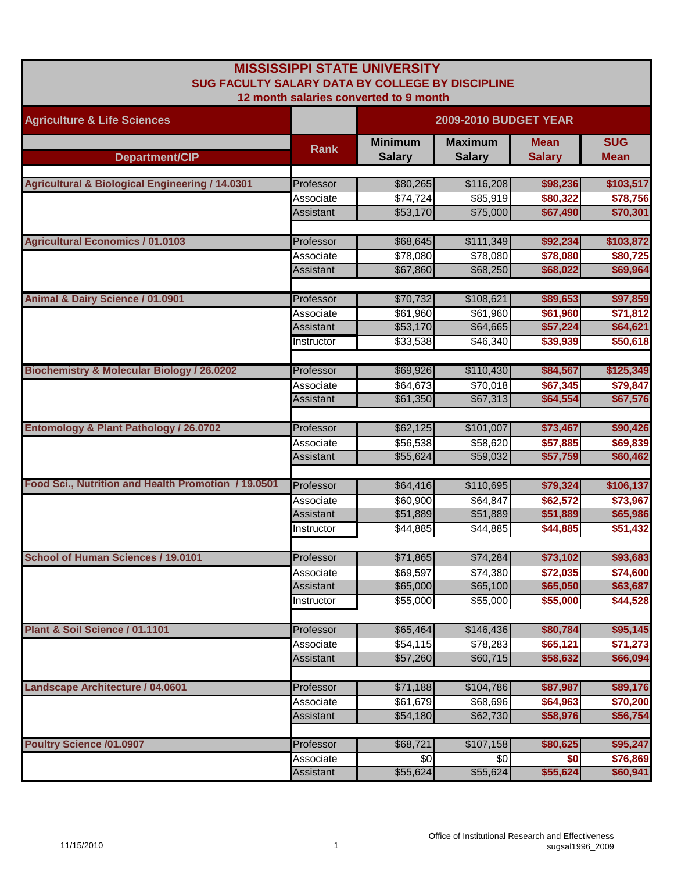| SUG FACULTY SALARY DATA BY COLLEGE BY DISCIPLINE           |                                            | <b>MISSISSIPPI STATE UNIVERSITY</b><br>12 month salaries converted to 9 month |                                              |                                              |                                              |
|------------------------------------------------------------|--------------------------------------------|-------------------------------------------------------------------------------|----------------------------------------------|----------------------------------------------|----------------------------------------------|
| <b>Agriculture &amp; Life Sciences</b>                     |                                            | <b>2009-2010 BUDGET YEAR</b>                                                  |                                              |                                              |                                              |
| Department/CIP                                             | <b>Rank</b>                                | <b>Minimum</b><br><b>Salary</b>                                               | <b>Maximum</b><br><b>Salary</b>              | <b>Mean</b><br><b>Salary</b>                 | <b>SUG</b><br><b>Mean</b>                    |
| <b>Agricultural &amp; Biological Engineering / 14.0301</b> | Professor                                  | \$80,265                                                                      | \$116,208                                    | \$98,236                                     | \$103,517                                    |
|                                                            | Associate<br>Assistant                     | \$74,724<br>\$53,170                                                          | \$85,919<br>\$75,000                         | \$80,322<br>\$67,490                         | \$78,756<br>\$70,301                         |
| <b>Agricultural Economics / 01.0103</b>                    | Professor                                  | \$68,645                                                                      | \$111,349                                    | \$92,234                                     | \$103,872                                    |
|                                                            | Associate<br>Assistant                     | \$78,080<br>\$67,860                                                          | \$78,080<br>\$68,250                         | \$78,080<br>\$68,022                         | \$80,725<br>\$69,964                         |
| Animal & Dairy Science / 01.0901                           | Professor<br>Associate                     | \$70,732<br>\$61,960                                                          | \$108,621<br>\$61,960                        | \$89,653<br>\$61,960                         | \$97,859<br>\$71,812                         |
|                                                            | Assistant<br>Instructor                    | \$53,170<br>\$33,538                                                          | \$64,665<br>\$46,340                         | \$57,224<br>\$39,939                         | \$64,621<br>\$50,618                         |
| <b>Biochemistry &amp; Molecular Biology / 26.0202</b>      | Professor<br>Associate<br>Assistant        | \$69,926<br>\$64,673<br>\$61,350                                              | \$110,430<br>\$70,018<br>\$67,313            | \$84,567<br>\$67,345<br>\$64,554             | \$125,349<br>\$79,847<br>\$67,576            |
| Entomology & Plant Pathology / 26.0702                     | Professor                                  | \$62,125                                                                      | \$101,007                                    | \$73,467                                     | \$90,426                                     |
|                                                            | Associate<br>Assistant                     | \$56,538<br>\$55,624                                                          | \$58,620<br>\$59,032                         | \$57,885<br>\$57,759                         | \$69,839<br>\$60,462                         |
| Food Sci., Nutrition and Health Promotion / 19.0501        | Professor<br>Associate<br><b>Assistant</b> | \$64,416<br>\$60,900<br>\$51,889                                              | \$110,695<br>\$64,847<br>\$51,889            | \$79,324<br>\$62,572<br>\$51,889             | \$106,137<br>\$73,967<br>\$65,986            |
| <b>School of Human Sciences / 19.0101</b>                  | Instructor<br>Professor                    | \$44,885                                                                      | \$44,885                                     | \$44,885                                     | \$51,432                                     |
|                                                            | Associate<br>Assistant<br>Instructor       | \$71,865<br>\$69,597<br>\$65,000<br>\$55,000                                  | \$74,284<br>\$74,380<br>\$65,100<br>\$55,000 | \$73,102<br>\$72,035<br>\$65,050<br>\$55,000 | \$93,683<br>\$74,600<br>\$63,687<br>\$44,528 |
| Plant & Soil Science / 01.1101                             | Professor<br>Associate<br><b>Assistant</b> | \$65,464<br>\$54,115<br>\$57,260                                              | \$146,436<br>\$78,283<br>\$60,715            | \$80,784<br>\$65,121<br>\$58,632             | \$95,145<br>\$71,273<br>\$66,094             |
| Landscape Architecture / 04.0601                           | Professor<br>Associate<br>Assistant        | \$71,188<br>\$61,679<br>\$54,180                                              | \$104,786<br>\$68,696<br>\$62,730            | \$87,987<br>\$64,963<br>\$58,976             | \$89,176<br>\$70,200<br>\$56,754             |
| <b>Poultry Science /01.0907</b>                            | Professor<br>Associate                     | \$68,721<br>\$0                                                               | \$107,158<br>\$0                             | \$80,625<br>\$0                              | \$95,247<br>\$76,869                         |
|                                                            | Assistant                                  | \$55,624                                                                      | \$55,624                                     | \$55,624                                     | \$60,941                                     |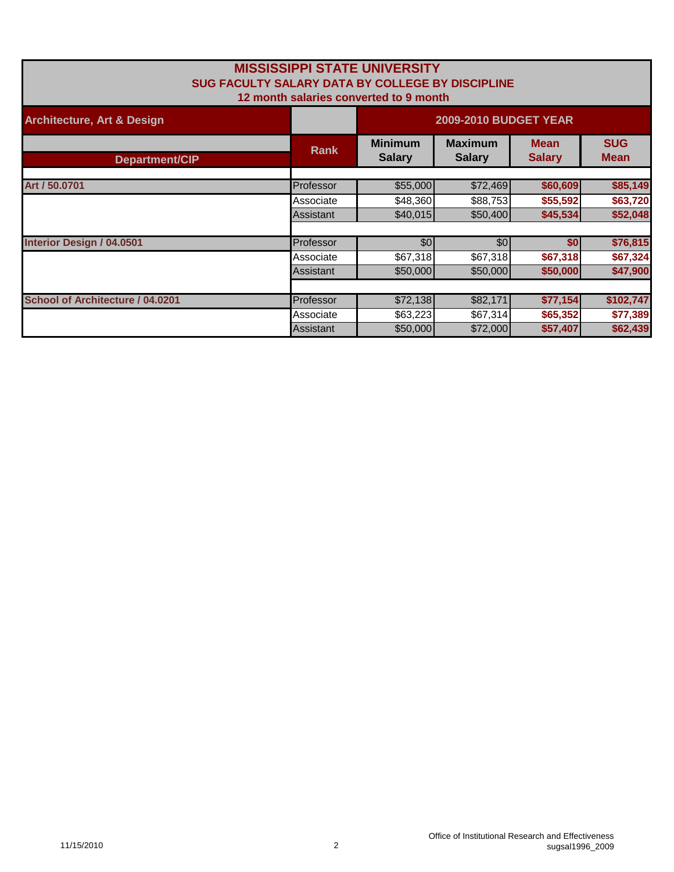| SUG FACULTY SALARY DATA BY COLLEGE BY DISCIPLINE |             | <b>MISSISSIPPI STATE UNIVERSITY</b><br>12 month salaries converted to 9 month |                              |                           |           |
|--------------------------------------------------|-------------|-------------------------------------------------------------------------------|------------------------------|---------------------------|-----------|
| <b>Architecture, Art &amp; Design</b>            |             | <b>2009-2010 BUDGET YEAR</b>                                                  |                              |                           |           |
| <b>Department/CIP</b>                            | <b>Rank</b> | <b>Minimum</b><br><b>Salary</b>                                               | <b>Mean</b><br><b>Salary</b> | <b>SUG</b><br><b>Mean</b> |           |
|                                                  |             |                                                                               |                              |                           |           |
| Art / 50.0701                                    | Professor   | \$55,000                                                                      | \$72,469                     | \$60,609                  | \$85,149  |
|                                                  | Associate   | \$48,360                                                                      | \$88,753                     | \$55,592                  | \$63,720  |
|                                                  | Assistant   | \$40,015                                                                      | \$50,400                     | \$45,534                  | \$52,048  |
| <b>Interior Design / 04.0501</b>                 | Professor   | \$0                                                                           | \$0                          | \$0                       | \$76,815  |
|                                                  | Associate   | \$67,318                                                                      | \$67,318                     | \$67,318                  | \$67,324  |
|                                                  | Assistant   | \$50,000                                                                      | \$50,000                     | \$50,000                  | \$47,900  |
|                                                  |             |                                                                               |                              |                           |           |
| School of Architecture / 04.0201                 | Professor   | \$72,138                                                                      | \$82,171                     | \$77,154                  | \$102,747 |
|                                                  | Associate   | \$63,223                                                                      | \$67,314                     | \$65,352                  | \$77,389  |
|                                                  | Assistant   | \$50,000                                                                      | \$72,000                     | \$57,407                  | \$62,439  |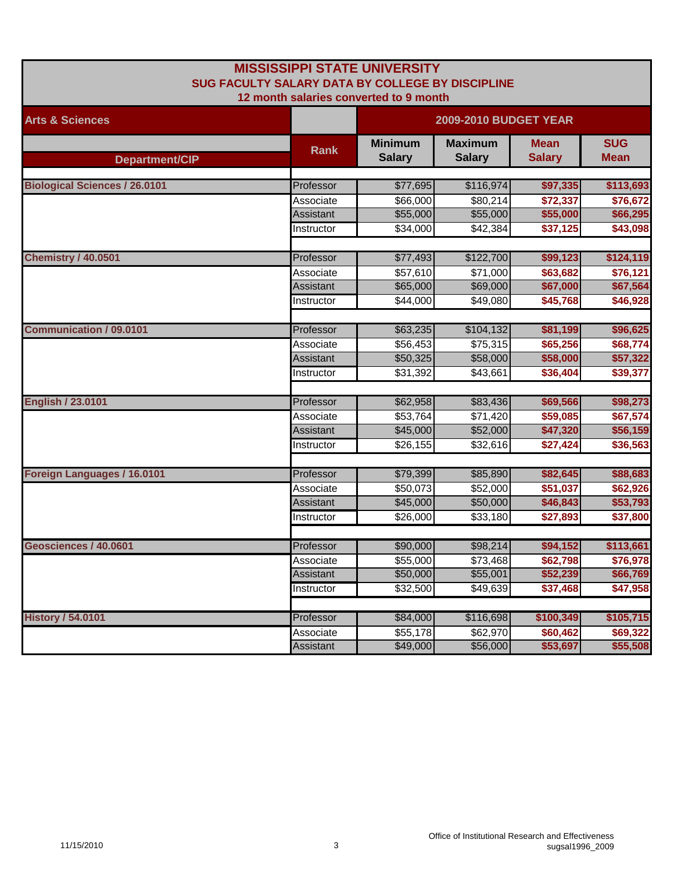| <b>MISSISSIPPI STATE UNIVERSITY</b><br>SUG FACULTY SALARY DATA BY COLLEGE BY DISCIPLINE<br>12 month salaries converted to 9 month |                  |                                 |                                 |                              |                           |  |
|-----------------------------------------------------------------------------------------------------------------------------------|------------------|---------------------------------|---------------------------------|------------------------------|---------------------------|--|
| <b>Arts &amp; Sciences</b>                                                                                                        |                  | <b>2009-2010 BUDGET YEAR</b>    |                                 |                              |                           |  |
| Department/CIP                                                                                                                    | <b>Rank</b>      | <b>Minimum</b><br><b>Salary</b> | <b>Maximum</b><br><b>Salary</b> | <b>Mean</b><br><b>Salary</b> | <b>SUG</b><br><b>Mean</b> |  |
| <b>Biological Sciences / 26.0101</b>                                                                                              | Professor        | \$77,695                        | \$116,974                       | \$97,335                     | \$113,693                 |  |
|                                                                                                                                   | Associate        | \$66,000                        | \$80,214                        | \$72,337                     | \$76,672                  |  |
|                                                                                                                                   | Assistant        | \$55,000                        | \$55,000                        | \$55,000                     | \$66,295                  |  |
|                                                                                                                                   | Instructor       | \$34,000                        | \$42,384                        | \$37,125                     | \$43,098                  |  |
|                                                                                                                                   |                  |                                 |                                 |                              |                           |  |
| <b>Chemistry / 40.0501</b>                                                                                                        | Professor        | \$77,493                        | \$122,700                       | \$99,123                     | \$124,119                 |  |
|                                                                                                                                   | Associate        | \$57,610                        | \$71,000                        | \$63,682                     | \$76,121                  |  |
|                                                                                                                                   | <b>Assistant</b> | \$65,000                        | \$69,000                        | \$67,000                     | \$67,564                  |  |
|                                                                                                                                   | Instructor       | \$44,000                        | \$49,080                        | \$45,768                     | \$46,928                  |  |
| <b>Communication / 09.0101</b>                                                                                                    | Professor        | \$63,235                        | \$104,132                       | \$81,199                     | \$96,625                  |  |
|                                                                                                                                   | Associate        | \$56,453                        | \$75,315                        | \$65,256                     | \$68,774                  |  |
|                                                                                                                                   | Assistant        | \$50,325                        | \$58,000                        | \$58,000                     | \$57,322                  |  |
|                                                                                                                                   | Instructor       | \$31,392                        | \$43,661                        | \$36,404                     | \$39,377                  |  |
|                                                                                                                                   |                  |                                 |                                 |                              |                           |  |
| <b>English / 23.0101</b>                                                                                                          | Professor        | \$62,958                        | \$83,436                        | \$69,566                     | \$98,273                  |  |
|                                                                                                                                   | Associate        | \$53,764                        | \$71,420                        | \$59,085                     | \$67,574                  |  |
|                                                                                                                                   | <b>Assistant</b> | \$45,000                        | \$52,000                        | \$47,320                     | \$56,159                  |  |
|                                                                                                                                   | Instructor       | \$26,155                        | \$32,616                        | \$27,424                     | \$36,563                  |  |
| Foreign Languages / 16.0101                                                                                                       | Professor        | \$79,399                        | \$85,890                        | \$82,645                     | \$88,683                  |  |
|                                                                                                                                   | Associate        | \$50,073                        | \$52,000                        | \$51,037                     | \$62,926                  |  |
|                                                                                                                                   | <b>Assistant</b> | \$45,000                        | \$50,000                        | \$46,843                     | \$53,793                  |  |
|                                                                                                                                   | Instructor       | \$26,000                        | \$33,180                        | \$27,893                     | \$37,800                  |  |
|                                                                                                                                   |                  |                                 |                                 |                              |                           |  |
| Geosciences / 40.0601                                                                                                             | Professor        | \$90,000                        | \$98,214                        | \$94,152                     | \$113,661                 |  |
|                                                                                                                                   | Associate        | \$55,000                        | \$73,468                        | \$62,798                     | \$76,978                  |  |
|                                                                                                                                   | Assistant        | \$50,000                        | \$55,001                        | \$52,239                     | \$66,769                  |  |
|                                                                                                                                   | Instructor       | \$32,500                        | \$49,639                        | \$37,468                     | \$47,958                  |  |
| <b>History / 54.0101</b>                                                                                                          | Professor        | \$84,000                        | \$116,698                       | \$100,349                    | \$105,715                 |  |
|                                                                                                                                   | Associate        | \$55,178                        | \$62,970                        | \$60,462                     | \$69,322                  |  |
|                                                                                                                                   | <b>Assistant</b> | \$49,000                        | \$56,000                        | \$53,697                     | \$55,508                  |  |
|                                                                                                                                   |                  |                                 |                                 |                              |                           |  |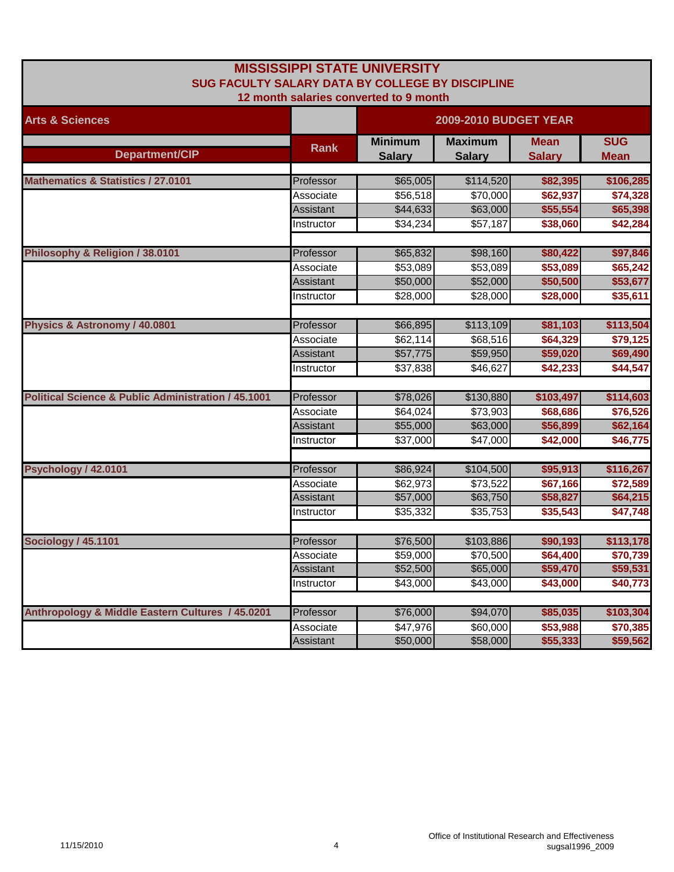| <b>MISSISSIPPI STATE UNIVERSITY</b><br>SUG FACULTY SALARY DATA BY COLLEGE BY DISCIPLINE<br>12 month salaries converted to 9 month |                  |                                 |                                 |                              |                           |  |
|-----------------------------------------------------------------------------------------------------------------------------------|------------------|---------------------------------|---------------------------------|------------------------------|---------------------------|--|
| <b>Arts &amp; Sciences</b>                                                                                                        |                  | <b>2009-2010 BUDGET YEAR</b>    |                                 |                              |                           |  |
| Department/CIP                                                                                                                    | <b>Rank</b>      | <b>Minimum</b><br><b>Salary</b> | <b>Maximum</b><br><b>Salary</b> | <b>Mean</b><br><b>Salary</b> | <b>SUG</b><br><b>Mean</b> |  |
| <b>Mathematics &amp; Statistics / 27.0101</b>                                                                                     | Professor        | \$65,005                        | \$114,520                       | \$82,395                     | \$106,285                 |  |
|                                                                                                                                   | Associate        | \$56,518                        | \$70,000                        | \$62,937                     | \$74,328                  |  |
|                                                                                                                                   | Assistant        | \$44,633                        | \$63,000                        | \$55,554                     | \$65,398                  |  |
|                                                                                                                                   | Instructor       | \$34,234                        | \$57,187                        | \$38,060                     | \$42,284                  |  |
| Philosophy & Religion / 38.0101                                                                                                   | Professor        | \$65,832                        | \$98,160                        | \$80,422                     | \$97,846                  |  |
|                                                                                                                                   | Associate        | \$53,089                        | \$53,089                        | \$53,089                     | \$65,242                  |  |
|                                                                                                                                   | <b>Assistant</b> | \$50,000                        | \$52,000                        | \$50,500                     | \$53,677                  |  |
|                                                                                                                                   | Instructor       | \$28,000                        | \$28,000                        | \$28,000                     | \$35,611                  |  |
| Physics & Astronomy / 40.0801                                                                                                     | Professor        | \$66,895                        | \$113,109                       | \$81,103                     | \$113,504                 |  |
|                                                                                                                                   | Associate        | \$62,114                        | \$68,516                        | \$64,329                     | \$79,125                  |  |
|                                                                                                                                   | Assistant        | \$57,775                        | \$59,950                        | \$59,020                     | \$69,490                  |  |
|                                                                                                                                   | Instructor       | \$37,838                        | \$46,627                        | \$42,233                     | \$44,547                  |  |
| <b>Political Science &amp; Public Administration / 45.1001</b>                                                                    | Professor        | \$78,026                        | \$130,880                       | \$103,497                    | \$114,603                 |  |
|                                                                                                                                   | Associate        | \$64,024                        | \$73,903                        | \$68,686                     | \$76,526                  |  |
|                                                                                                                                   | Assistant        | \$55,000                        | \$63,000                        | \$56,899                     | \$62,164                  |  |
|                                                                                                                                   | Instructor       | \$37,000                        | \$47,000                        | \$42,000                     | \$46,775                  |  |
| Psychology / 42.0101                                                                                                              | Professor        | \$86,924                        | \$104,500                       | \$95,913                     | \$116,267                 |  |
|                                                                                                                                   | Associate        | \$62,973                        | \$73,522                        | \$67,166                     | \$72,589                  |  |
|                                                                                                                                   | <b>Assistant</b> | \$57,000                        | \$63,750                        | \$58,827                     | \$64,215                  |  |
|                                                                                                                                   | Instructor       | \$35,332                        | \$35,753                        | \$35,543                     | \$47,748                  |  |
| <b>Sociology / 45.1101</b>                                                                                                        | Professor        | \$76,500                        | \$103,886                       | \$90,193                     | \$113,178                 |  |
|                                                                                                                                   | Associate        | \$59,000                        | \$70,500                        | \$64,400                     | \$70,739                  |  |
|                                                                                                                                   | Assistant        | \$52,500                        | \$65,000                        | \$59,470                     | \$59,531                  |  |
|                                                                                                                                   | Instructor       | \$43,000                        | \$43,000                        | \$43,000                     | \$40,773                  |  |
| Anthropology & Middle Eastern Cultures / 45.0201                                                                                  | Professor        | \$76,000                        | \$94,070                        | \$85,035                     | \$103,304                 |  |
|                                                                                                                                   | Associate        | $\overline{$47,976}$            | \$60,000                        | \$53,988                     | \$70,385                  |  |
|                                                                                                                                   | Assistant        | \$50,000                        | \$58,000                        | \$55,333                     | \$59,562                  |  |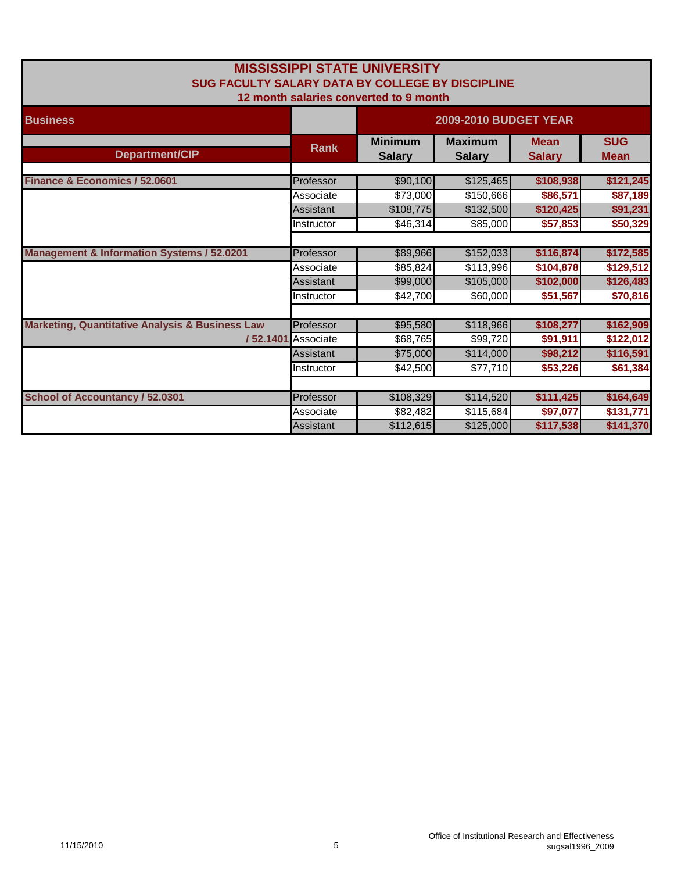|                                                            |                    | <b>MISSISSIPPI STATE UNIVERSITY</b>    |                              |               |             |
|------------------------------------------------------------|--------------------|----------------------------------------|------------------------------|---------------|-------------|
| SUG FACULTY SALARY DATA BY COLLEGE BY DISCIPLINE           |                    |                                        |                              |               |             |
|                                                            |                    | 12 month salaries converted to 9 month |                              |               |             |
| <b>Business</b>                                            |                    |                                        | <b>2009-2010 BUDGET YEAR</b> |               |             |
|                                                            |                    |                                        |                              |               |             |
|                                                            | <b>Rank</b>        | <b>Minimum</b>                         | <b>Maximum</b>               | <b>Mean</b>   | <b>SUG</b>  |
| Department/CIP                                             |                    | <b>Salary</b>                          | <b>Salary</b>                | <b>Salary</b> | <b>Mean</b> |
|                                                            |                    |                                        |                              |               |             |
| Finance & Economics / 52.0601                              | Professor          | \$90,100                               | \$125,465                    | \$108,938     | \$121,245   |
|                                                            | Associate          | \$73,000                               | \$150,666                    | \$86,571      | \$87,189    |
|                                                            | <b>Assistant</b>   | \$108,775                              | \$132,500                    | \$120,425     | \$91,231    |
|                                                            | Instructor         | \$46,314                               | \$85,000                     | \$57,853      | \$50,329    |
|                                                            |                    |                                        |                              |               |             |
| <b>Management &amp; Information Systems / 52.0201</b>      | Professor          | \$89,966                               | \$152,033                    | \$116,874     | \$172,585   |
|                                                            | Associate          | \$85,824                               | \$113,996                    | \$104,878     | \$129,512   |
|                                                            | Assistant          | \$99,000                               | \$105,000                    | \$102,000     | \$126,483   |
|                                                            | Instructor         | \$42,700                               | \$60,000                     | \$51,567      | \$70,816    |
|                                                            |                    |                                        |                              |               |             |
| <b>Marketing, Quantitative Analysis &amp; Business Law</b> | Professor          | \$95,580                               | \$118,966                    | \$108,277     | \$162,909   |
|                                                            | /52.1401 Associate | \$68,765                               | \$99,720                     | \$91,911      | \$122,012   |
|                                                            | Assistant          | \$75,000                               | \$114,000                    | \$98,212      | \$116,591   |
|                                                            | Instructor         | \$42,500                               | \$77,710                     | \$53,226      | \$61,384    |
|                                                            |                    |                                        |                              |               |             |
| <b>School of Accountancy / 52.0301</b>                     | Professor          | \$108,329                              | \$114,520                    | \$111,425     | \$164,649   |
|                                                            | Associate          | \$82,482                               | \$115,684                    | \$97,077      | \$131,771   |
|                                                            | Assistant          | \$112,615                              | \$125,000                    | \$117,538     | \$141,370   |
|                                                            |                    |                                        |                              |               |             |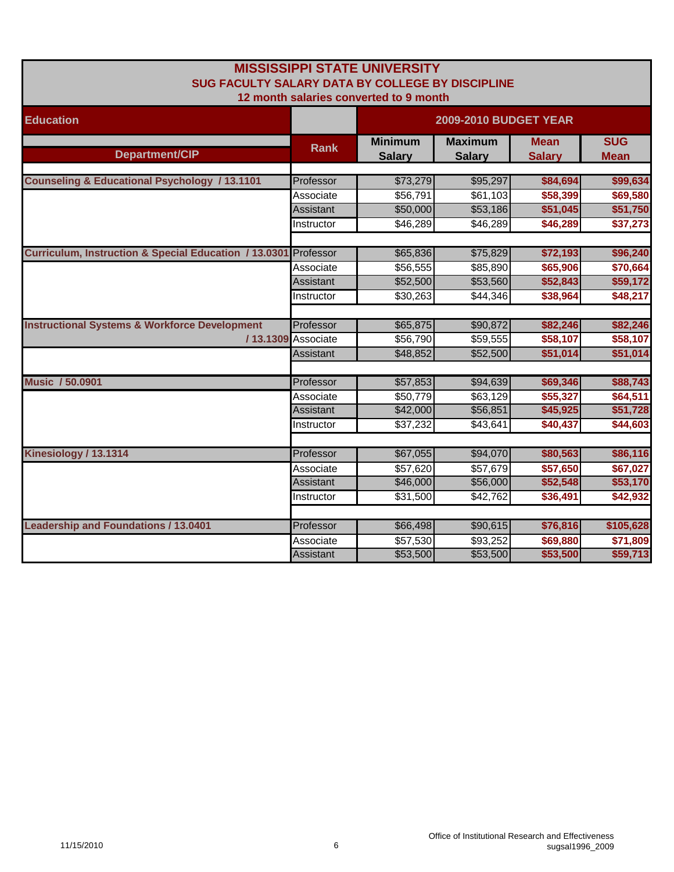| SUG FACULTY SALARY DATA BY COLLEGE BY DISCIPLINE                |                    | <b>MISSISSIPPI STATE UNIVERSITY</b><br>12 month salaries converted to 9 month |                                 |                              |                           |  |
|-----------------------------------------------------------------|--------------------|-------------------------------------------------------------------------------|---------------------------------|------------------------------|---------------------------|--|
| <b>Education</b>                                                |                    | <b>2009-2010 BUDGET YEAR</b>                                                  |                                 |                              |                           |  |
| <b>Department/CIP</b>                                           | <b>Rank</b>        | <b>Minimum</b><br><b>Salary</b>                                               | <b>Maximum</b><br><b>Salary</b> | <b>Mean</b><br><b>Salary</b> | <b>SUG</b><br><b>Mean</b> |  |
| <b>Counseling &amp; Educational Psychology / 13.1101</b>        | Professor          | \$73,279                                                                      | \$95,297                        | \$84,694                     | \$99,634                  |  |
|                                                                 | Associate          | \$56,791                                                                      | \$61,103                        | \$58,399                     | \$69,580                  |  |
|                                                                 | <b>Assistant</b>   | \$50,000                                                                      | \$53,186                        | \$51,045                     | \$51,750                  |  |
|                                                                 | Instructor         | \$46,289                                                                      | \$46,289                        | \$46,289                     | \$37,273                  |  |
| Curriculum, Instruction & Special Education / 13.0301 Professor |                    | \$65,836                                                                      | \$75,829                        | \$72,193                     | \$96,240                  |  |
|                                                                 | Associate          | \$56,555                                                                      | \$85,890                        | \$65,906                     | \$70,664                  |  |
|                                                                 | <b>Assistant</b>   | \$52,500                                                                      | \$53,560                        | \$52,843                     | \$59,172                  |  |
|                                                                 | Instructor         | \$30,263                                                                      | \$44,346                        | \$38,964                     | \$48,217                  |  |
| <b>Instructional Systems &amp; Workforce Development</b>        | Professor          | \$65,875                                                                      | \$90,872                        | \$82,246                     | \$82,246                  |  |
|                                                                 | /13.1309 Associate | \$56,790                                                                      | \$59,555                        | \$58,107                     | \$58,107                  |  |
|                                                                 | Assistant          | \$48,852                                                                      | \$52,500                        | \$51,014                     | \$51,014                  |  |
| <b>Music / 50.0901</b>                                          | Professor          | \$57,853                                                                      | \$94,639                        | \$69,346                     | \$88,743                  |  |
|                                                                 | Associate          | \$50,779                                                                      | \$63,129                        | \$55,327                     | \$64,511                  |  |
|                                                                 | Assistant          | \$42,000                                                                      | \$56,851                        | \$45,925                     | \$51,728                  |  |
|                                                                 | Instructor         | \$37,232                                                                      | \$43,641                        | \$40,437                     | \$44,603                  |  |
| Kinesiology / 13.1314                                           | Professor          | \$67,055                                                                      | \$94,070                        | \$80,563                     | \$86,116                  |  |
|                                                                 | Associate          | \$57,620                                                                      | \$57,679                        | \$57,650                     | \$67,027                  |  |
|                                                                 | <b>Assistant</b>   | $\overline{$46,000}$                                                          | \$56,000                        | \$52,548                     | \$53,170                  |  |
|                                                                 | Instructor         | \$31,500                                                                      | \$42,762                        | \$36,491                     | \$42,932                  |  |
| <b>Leadership and Foundations / 13.0401</b>                     | Professor          | \$66,498                                                                      | \$90,615                        | \$76,816                     | \$105,628                 |  |
|                                                                 | Associate          | \$57,530                                                                      | \$93,252                        | \$69,880                     | \$71,809                  |  |
|                                                                 | Assistant          | \$53,500                                                                      | \$53,500                        | \$53,500                     | \$59,713                  |  |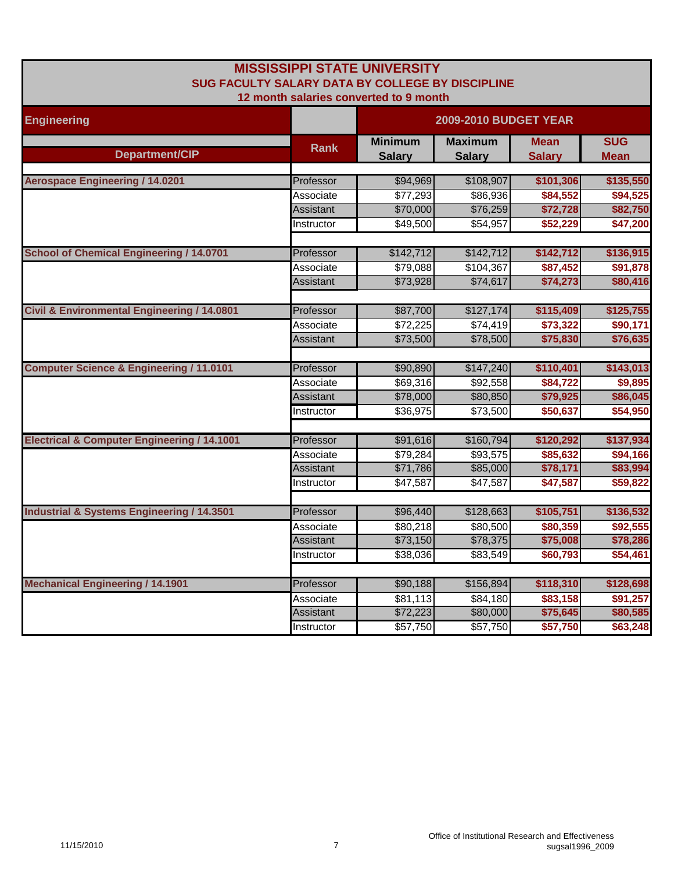| <b>MISSISSIPPI STATE UNIVERSITY</b><br>SUG FACULTY SALARY DATA BY COLLEGE BY DISCIPLINE<br>12 month salaries converted to 9 month |                        |                                 |                                 |                              |                           |  |
|-----------------------------------------------------------------------------------------------------------------------------------|------------------------|---------------------------------|---------------------------------|------------------------------|---------------------------|--|
| <b>Engineering</b>                                                                                                                |                        | <b>2009-2010 BUDGET YEAR</b>    |                                 |                              |                           |  |
| Department/CIP                                                                                                                    | <b>Rank</b>            | <b>Minimum</b><br><b>Salary</b> | <b>Maximum</b><br><b>Salary</b> | <b>Mean</b><br><b>Salary</b> | <b>SUG</b><br><b>Mean</b> |  |
| <b>Aerospace Engineering / 14.0201</b>                                                                                            | Professor              | \$94,969                        | \$108,907                       | \$101,306                    | \$135,550                 |  |
|                                                                                                                                   | Associate              | \$77,293                        | \$86,936                        | \$84,552                     | \$94,525                  |  |
|                                                                                                                                   | <b>Assistant</b>       | \$70,000                        | \$76,259                        | \$72,728                     | \$82,750                  |  |
|                                                                                                                                   | Instructor             | \$49,500                        | \$54,957                        | \$52,229                     | \$47,200                  |  |
| <b>School of Chemical Engineering / 14.0701</b>                                                                                   | Professor              | \$142,712                       | \$142,712                       | \$142,712                    | \$136,915                 |  |
|                                                                                                                                   | Associate              | \$79,088                        | \$104,367                       | \$87,452                     | \$91,878                  |  |
|                                                                                                                                   | Assistant              | \$73,928                        | \$74,617                        | \$74,273                     | \$80,416                  |  |
|                                                                                                                                   |                        |                                 |                                 |                              |                           |  |
| <b>Civil &amp; Environmental Engineering / 14.0801</b>                                                                            | Professor              | \$87,700                        | \$127,174                       | \$115,409                    | \$125,755                 |  |
|                                                                                                                                   | Associate              | \$72,225                        | \$74,419                        | \$73,322                     | \$90,171                  |  |
|                                                                                                                                   | Assistant              | \$73,500                        | \$78,500                        | \$75,830                     | \$76,635                  |  |
| <b>Computer Science &amp; Engineering / 11.0101</b>                                                                               | Professor              | \$90,890                        | \$147,240                       | \$110,401                    | \$143,013                 |  |
|                                                                                                                                   | Associate              | \$69,316                        | \$92,558                        | \$84,722                     | \$9,895                   |  |
|                                                                                                                                   | <b>Assistant</b>       | \$78,000                        | \$80,850                        | \$79,925                     | \$86,045                  |  |
|                                                                                                                                   | Instructor             | \$36,975                        | \$73,500                        | \$50,637                     | \$54,950                  |  |
| <b>Electrical &amp; Computer Engineering / 14.1001</b>                                                                            | Professor              | \$91,616                        | \$160,794                       | \$120,292                    | \$137,934                 |  |
|                                                                                                                                   | Associate              | \$79,284                        | \$93,575                        | \$85,632                     | \$94,166                  |  |
|                                                                                                                                   | <b>Assistant</b>       | \$71,786                        | \$85,000                        | \$78,171                     | \$83,994                  |  |
|                                                                                                                                   | Instructor             | \$47,587                        | \$47,587                        | \$47,587                     | \$59,822                  |  |
|                                                                                                                                   |                        |                                 |                                 |                              |                           |  |
| <b>Industrial &amp; Systems Engineering / 14.3501</b>                                                                             | Professor              | \$96,440                        | \$128,663                       | \$105,751                    | \$136,532                 |  |
|                                                                                                                                   | Associate<br>Assistant | \$80,218<br>\$73,150            | \$80,500<br>\$78,375            | \$80,359<br>\$75,008         | \$92,555<br>\$78,286      |  |
|                                                                                                                                   |                        | \$38,036                        | \$83,549                        | \$60,793                     | \$54,461                  |  |
|                                                                                                                                   | Instructor             |                                 |                                 |                              |                           |  |
| <b>Mechanical Engineering / 14.1901</b>                                                                                           | Professor              | \$90,188                        | \$156,894                       | \$118,310                    | \$128,698                 |  |
|                                                                                                                                   | Associate              | \$81,113                        | \$84,180                        | \$83,158                     | \$91,257                  |  |
|                                                                                                                                   | Assistant              | \$72,223                        | \$80,000                        | \$75,645                     | \$80,585                  |  |
|                                                                                                                                   | Instructor             | \$57,750                        | \$57,750                        | \$57,750                     | \$63,248                  |  |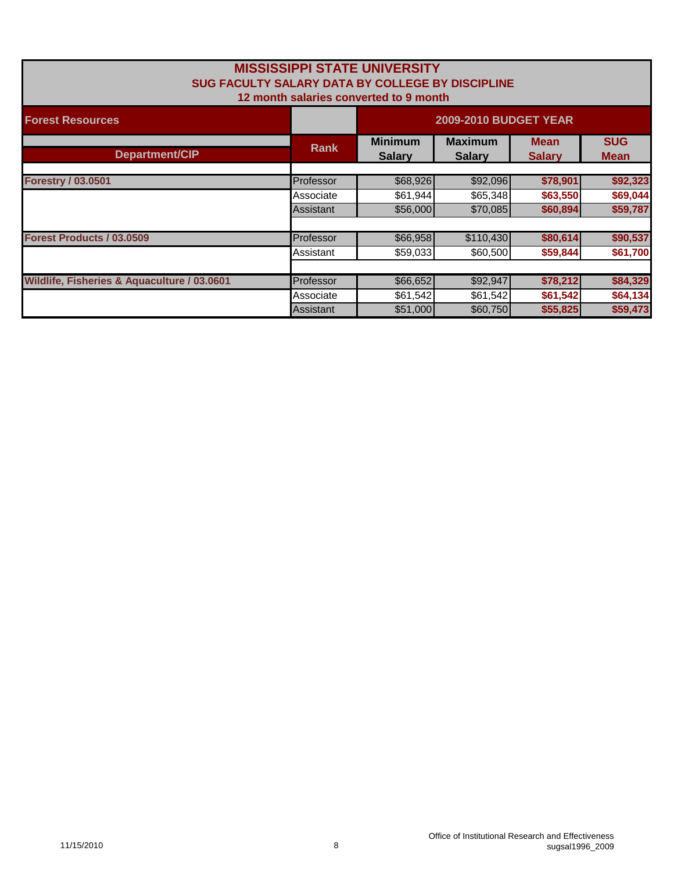| <b>MISSISSIPPI STATE UNIVERSITY</b><br>SUG FACULTY SALARY DATA BY COLLEGE BY DISCIPLINE<br>12 month salaries converted to 9 month |             |                                 |                                 |                              |                           |  |
|-----------------------------------------------------------------------------------------------------------------------------------|-------------|---------------------------------|---------------------------------|------------------------------|---------------------------|--|
| <b>Forest Resources</b>                                                                                                           |             | <b>2009-2010 BUDGET YEAR</b>    |                                 |                              |                           |  |
| Department/CIP                                                                                                                    | <b>Rank</b> | <b>Minimum</b><br><b>Salary</b> | <b>Maximum</b><br><b>Salary</b> | <b>Mean</b><br><b>Salary</b> | <b>SUG</b><br><b>Mean</b> |  |
|                                                                                                                                   |             |                                 |                                 |                              |                           |  |
| <b>Forestry / 03.0501</b>                                                                                                         | Professor   | \$68,926                        | \$92,096                        | \$78,901                     | \$92,323                  |  |
|                                                                                                                                   | Associate   | \$61,944                        | \$65,348                        | \$63,550                     | \$69,044                  |  |
|                                                                                                                                   | Assistant   | \$56,000                        | \$70,085                        | \$60,894                     | \$59,787                  |  |
|                                                                                                                                   |             |                                 |                                 |                              |                           |  |
| Forest Products / 03.0509                                                                                                         | Professor   | \$66,958                        | \$110,430                       | \$80,614                     | \$90,537                  |  |
|                                                                                                                                   | Assistant   | \$59,033                        | \$60,500                        | \$59,844                     | \$61,700                  |  |
|                                                                                                                                   |             |                                 |                                 |                              |                           |  |
| Wildlife, Fisheries & Aquaculture / 03.0601                                                                                       | Professor   | \$66,652                        | \$92,947                        | \$78,212                     | \$84,329                  |  |
|                                                                                                                                   | Associate   | \$61,542                        | \$61,542                        | \$61,542                     | \$64,134                  |  |
|                                                                                                                                   | Assistant   | \$51,000                        | \$60,750                        | \$55,825                     | \$59,473                  |  |